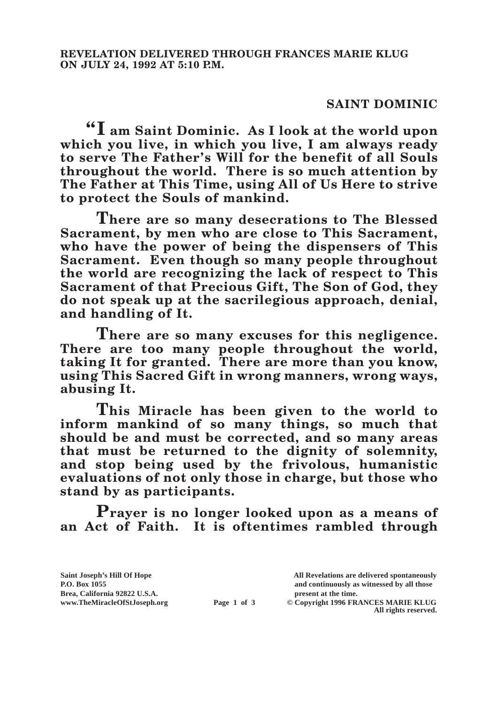## **SAINT DOMINIC**

**"I am Saint Dominic. As I look at the world upon which you live, in which you live, I am always ready to serve The Father's Will for the benefit of all Souls throughout the world. There is so much attention by The Father at This Time, using All of Us Here to strive to protect the Souls of mankind.**

**There are so many desecrations to The Blessed Sacrament, by men who are close to This Sacrament, who have the power of being the dispensers of This Sacrament. Even though so many people throughout the world are recognizing the lack of respect to This Sacrament of that Precious Gift, The Son of God, they do not speak up at the sacrilegious approach, denial, and handling of It.**

**There are so many excuses for this negligence. There are too many people throughout the world, taking It for granted. There are more than you know, using This Sacred Gift in wrong manners, wrong ways, abusing It.**

**This Miracle has been given to the world to inform mankind of so many things, so much that should be and must be corrected, and so many areas that must be returned to the dignity of solemnity, and stop being used by the frivolous, humanistic evaluations of not only those in charge, but those who stand by as participants.**

**Prayer is no longer looked upon as a means of an Act of Faith. It is oftentimes rambled through** 

**Saint Joseph's Hill Of Hope All Revelations are delivered spontaneously P.O. Box 1055 and continuously as witnessed by all those Page 1 of 3** © Copyright 1996 FRANCES MARIE KLUG

**All rights reserved.**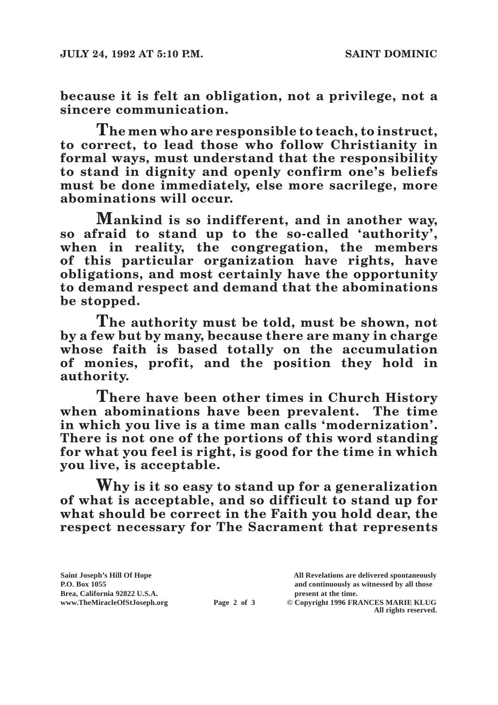**because it is felt an obligation, not a privilege, not a sincere communication.**

**The men who are responsible to teach, to instruct, to correct, to lead those who follow Christianity in formal ways, must understand that the responsibility to stand in dignity and openly confirm one's beliefs must be done immediately, else more sacrilege, more abominations will occur.**

**Mankind is so indifferent, and in another way, so afraid to stand up to the so-called 'authority', when in reality, the congregation, the members of this particular organization have rights, have obligations, and most certainly have the opportunity to demand respect and demand that the abominations be stopped.**

**The authority must be told, must be shown, not by a few but by many, because there are many in charge whose faith is based totally on the accumulation of monies, profit, and the position they hold in authority.**

**There have been other times in Church History when abominations have been prevalent. The time in which you live is a time man calls 'modernization'. There is not one of the portions of this word standing for what you feel is right, is good for the time in which you live, is acceptable.**

**Why is it so easy to stand up for a generalization of what is acceptable, and so difficult to stand up for what should be correct in the Faith you hold dear, the respect necessary for The Sacrament that represents** 

Brea, California 92822 U.S.A.<br>
www.TheMiracleOfStJoseph.org<br> **Page 2 of 3** © Copyright 1996 FR.

**Saint Joseph's Hill Of Hope All Revelations are delivered spontaneously P.O. Box 1055 and continuously as witnessed by all those** 

 $\odot$  Copyright 1996 FRANCES MARIE KLUG **All rights reserved.**